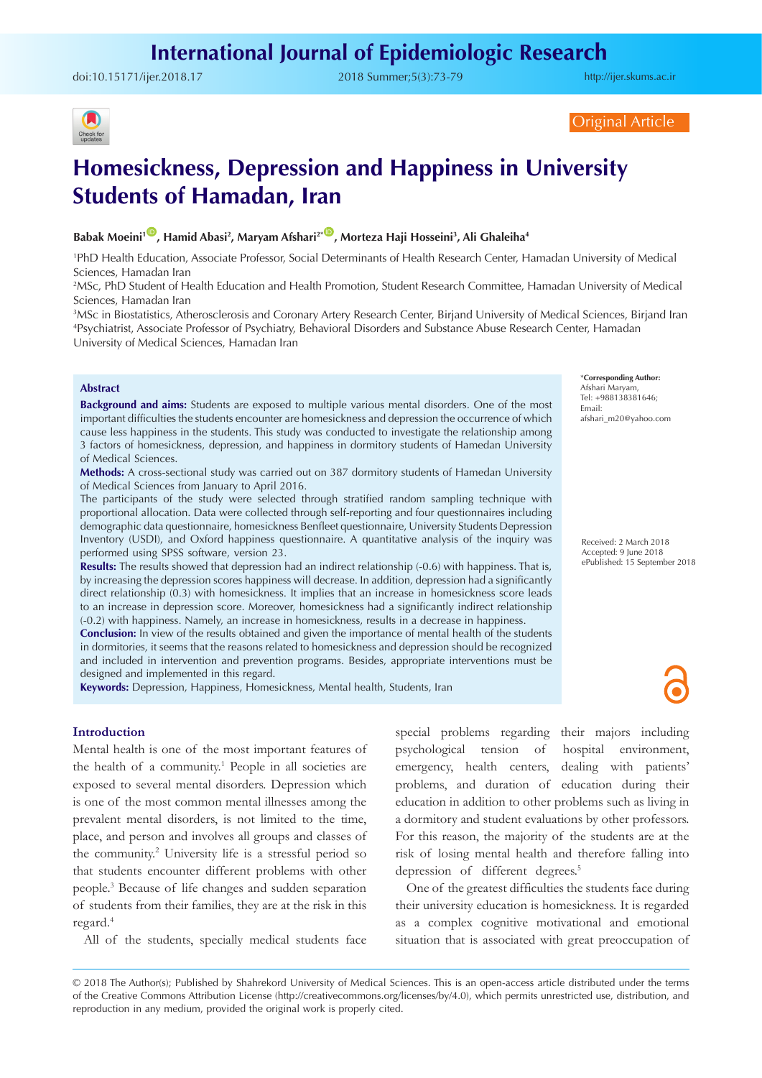doi:[10.15171/ijer.2018.17](https://doi.org/10.15171/ijer.2018.17) 2018 Summer;5(3):73-79

<http://ijer.skums.ac.ir>



Original Article

# **Homesickness, Depression and Happiness in University Students of Hamadan, Iran**

# **Babak Moeini1** [ID](https://orcid.org/0000-0001-9376-0460) **, Hamid Abasi2 , Maryam Afshari2\*** [ID](https://orcid.org/0000-0002-7144-5731) **, Morteza Haji Hosseini3 , Ali Ghaleiha4**

1 PhD Health Education, Associate Professor, Social Determinants of Health Research Center, Hamadan University of Medical Sciences, Hamadan Iran

2 MSc, PhD Student of Health Education and Health Promotion, Student Research Committee, Hamadan University of Medical Sciences, Hamadan Iran

3 MSc in Biostatistics, Atherosclerosis and Coronary Artery Research Center, Birjand University of Medical Sciences, Birjand Iran 4 Psychiatrist, Associate Professor of Psychiatry, Behavioral Disorders and Substance Abuse Research Center, Hamadan University of Medical Sciences, Hamadan Iran

#### **Abstract**

**Background and aims:** Students are exposed to multiple various mental disorders. One of the most important difficulties the students encounter are homesickness and depression the occurrence of which cause less happiness in the students. This study was conducted to investigate the relationship among 3 factors of homesickness, depression, and happiness in dormitory students of Hamedan University of Medical Sciences.

**Methods:** A cross-sectional study was carried out on 387 dormitory students of Hamedan University of Medical Sciences from January to April 2016.

The participants of the study were selected through stratified random sampling technique with proportional allocation. Data were collected through self-reporting and four questionnaires including demographic data questionnaire, homesickness Benfleet questionnaire, University Students Depression Inventory (USDI), and Oxford happiness questionnaire. A quantitative analysis of the inquiry was performed using SPSS software, version 23.

**Results:** The results showed that depression had an indirect relationship (-0.6) with happiness. That is, by increasing the depression scores happiness will decrease. In addition, depression had a significantly direct relationship (0.3) with homesickness. It implies that an increase in homesickness score leads to an increase in depression score. Moreover, homesickness had a significantly indirect relationship (-0.2) with happiness. Namely, an increase in homesickness, results in a decrease in happiness.

**Conclusion:** In view of the results obtained and given the importance of mental health of the students in dormitories, it seems that the reasons related to homesickness and depression should be recognized and included in intervention and prevention programs. Besides, appropriate interventions must be designed and implemented in this regard.

**Keywords:** Depression, Happiness, Homesickness, Mental health, Students, Iran

#### **Introduction**

Mental health is one of the most important features of the health of a community.<sup>1</sup> People in all societies are exposed to several mental disorders. Depression which is one of the most common mental illnesses among the prevalent mental disorders, is not limited to the time, place, and person and involves all groups and classes of the community.2 University life is a stressful period so that students encounter different problems with other people.3 Because of life changes and sudden separation of students from their families, they are at the risk in this regard.4

All of the students, specially medical students face

special problems regarding their majors including psychological tension of hospital environment, emergency, health centers, dealing with patients' problems, and duration of education during their education in addition to other problems such as living in a dormitory and student evaluations by other professors. For this reason, the majority of the students are at the risk of losing mental health and therefore falling into depression of different degrees.<sup>5</sup>

One of the greatest difficulties the students face during their university education is homesickness. It is regarded as a complex cognitive motivational and emotional situation that is associated with great preoccupation of

© 2018 The Author(s); Published by Shahrekord University of Medical Sciences. This is an open-access article distributed under the terms of the Creative Commons Attribution License (http://creativecommons.org/licenses/by/4.0), which permits unrestricted use, distribution, and reproduction in any medium, provided the original work is properly cited.

\***Corresponding Author:** Afshari Maryam, Tel: +988138381646; Email: afshari\_m20@yahoo.com

Received: 2 March 2018 Accepted: 9 June 2018 ePublished: 15 September 2018

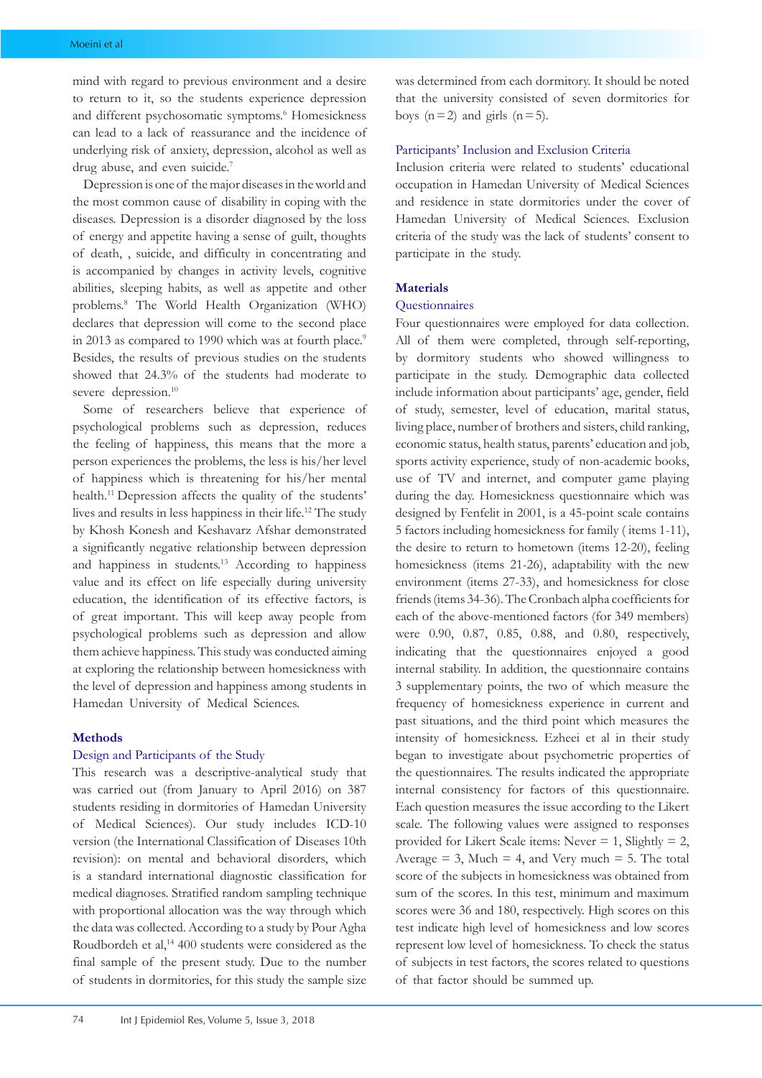mind with regard to previous environment and a desire to return to it, so the students experience depression and different psychosomatic symptoms.<sup>6</sup> Homesickness can lead to a lack of reassurance and the incidence of underlying risk of anxiety, depression, alcohol as well as drug abuse, and even suicide.<sup>7</sup>

Depression is one of the major diseases in the world and the most common cause of disability in coping with the diseases. Depression is a disorder diagnosed by the loss of energy and appetite having a sense of guilt, thoughts of death, , suicide, and difficulty in concentrating and is accompanied by changes in activity levels, cognitive abilities, sleeping habits, as well as appetite and other problems.8 The World Health Organization (WHO) declares that depression will come to the second place in 2013 as compared to 1990 which was at fourth place.<sup>9</sup> Besides, the results of previous studies on the students showed that 24.3% of the students had moderate to severe depression.<sup>10</sup>

Some of researchers believe that experience of psychological problems such as depression, reduces the feeling of happiness, this means that the more a person experiences the problems, the less is his/her level of happiness which is threatening for his/her mental health.<sup>11</sup> Depression affects the quality of the students' lives and results in less happiness in their life.<sup>12</sup> The study by Khosh Konesh and Keshavarz Afshar demonstrated a significantly negative relationship between depression and happiness in students.<sup>13</sup> According to happiness value and its effect on life especially during university education, the identification of its effective factors, is of great important. This will keep away people from psychological problems such as depression and allow them achieve happiness. This study was conducted aiming at exploring the relationship between homesickness with the level of depression and happiness among students in Hamedan University of Medical Sciences.

#### **Methods**

#### Design and Participants of the Study

This research was a descriptive-analytical study that was carried out (from January to April 2016) on 387 students residing in dormitories of Hamedan University of Medical Sciences). Our study includes ICD-10 version (the International Classification of Diseases 10th revision): on mental and behavioral disorders, which is a standard international diagnostic classification for medical diagnoses. Stratified random sampling technique with proportional allocation was the way through which the data was collected. According to a study by Pour Agha Roudbordeh et al,<sup>14</sup> 400 students were considered as the final sample of the present study. Due to the number of students in dormitories, for this study the sample size was determined from each dormitory. It should be noted that the university consisted of seven dormitories for boys  $(n=2)$  and girls  $(n=5)$ .

#### Participants' Inclusion and Exclusion Criteria

Inclusion criteria were related to students' educational occupation in Hamedan University of Medical Sciences and residence in state dormitories under the cover of Hamedan University of Medical Sciences. Exclusion criteria of the study was the lack of students' consent to participate in the study.

# **Materials**

# **Ouestionnaires**

Four questionnaires were employed for data collection. All of them were completed, through self-reporting, by dormitory students who showed willingness to participate in the study. Demographic data collected include information about participants' age, gender, field of study, semester, level of education, marital status, living place, number of brothers and sisters, child ranking, economic status, health status, parents' education and job, sports activity experience, study of non-academic books, use of TV and internet, and computer game playing during the day. Homesickness questionnaire which was designed by Fenfelit in 2001, is a 45-point scale contains 5 factors including homesickness for family ( items 1-11), the desire to return to hometown (items 12-20), feeling homesickness (items 21-26), adaptability with the new environment (items 27-33), and homesickness for close friends (items 34-36). The Cronbach alpha coefficients for each of the above-mentioned factors (for 349 members) were 0.90, 0.87, 0.85, 0.88, and 0.80, respectively, indicating that the questionnaires enjoyed a good internal stability. In addition, the questionnaire contains 3 supplementary points, the two of which measure the frequency of homesickness experience in current and past situations, and the third point which measures the intensity of homesickness. Ezheei et al in their study began to investigate about psychometric properties of the questionnaires. The results indicated the appropriate internal consistency for factors of this questionnaire. Each question measures the issue according to the Likert scale. The following values were assigned to responses provided for Likert Scale items: Never = 1, Slightly = 2, Average  $= 3$ , Much  $= 4$ , and Very much  $= 5$ . The total score of the subjects in homesickness was obtained from sum of the scores. In this test, minimum and maximum scores were 36 and 180, respectively. High scores on this test indicate high level of homesickness and low scores represent low level of homesickness. To check the status of subjects in test factors, the scores related to questions of that factor should be summed up.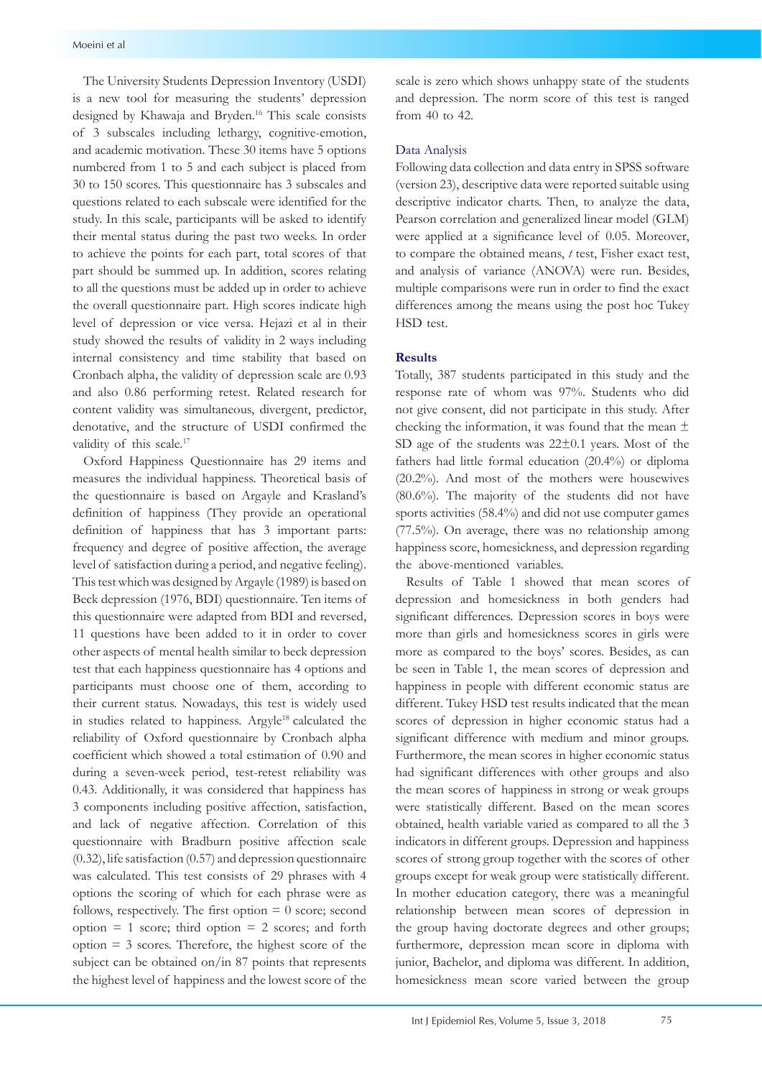The University Students Depression Inventory (USDI) is a new tool for measuring the students' depression designed by Khawaja and Bryden.<sup>16</sup> This scale consists of 3 subscales including lethargy, cognitive-emotion, and academic motivation. These 30 items have 5 options numbered from 1 to 5 and each subject is placed from 30 to 150 scores. This questionnaire has 3 subscales and questions related to each subscale were identified for the study. In this scale, participants will be asked to identify their mental status during the past two weeks. In order to achieve the points for each part, total scores of that part should be summed up. In addition, scores relating to all the questions must be added up in order to achieve the overall questionnaire part. High scores indicate high level of depression or vice versa. Hejazi et al in their study showed the results of validity in 2 ways including internal consistency and time stability that based on Cronbach alpha, the validity of depression scale are 0.93 and also 0.86 performing retest. Related research for content validity was simultaneous, divergent, predictor, denotative, and the structure of USDI confirmed the validity of this scale.<sup>17</sup>

Oxford Happiness Questionnaire has 29 items and measures the individual happiness. Theoretical basis of the questionnaire is based on Argayle and Krasland's definition of happiness (They provide an operational definition of happiness that has 3 important parts: frequency and degree of positive affection, the average level of satisfaction during a period, and negative feeling). This test which was designed by Argayle (1989) is based on Beck depression (1976, BDI) questionnaire. Ten items of this questionnaire were adapted from BDI and reversed, 11 questions have been added to it in order to cover other aspects of mental health similar to beck depression test that each happiness questionnaire has 4 options and participants must choose one of them, according to their current status. Nowadays, this test is widely used in studies related to happiness. Argyle<sup>18</sup> calculated the reliability of Oxford questionnaire by Cronbach alpha coefficient which showed a total estimation of 0.90 and during a seven-week period, test-retest reliability was 0.43. Additionally, it was considered that happiness has 3 components including positive affection, satisfaction, and lack of negative affection. Correlation of this questionnaire with Bradburn positive affection scale (0.32), life satisfaction (0.57) and depression questionnaire was calculated. This test consists of 29 phrases with 4 options the scoring of which for each phrase were as follows, respectively. The first option  $= 0$  score; second option  $= 1$  score; third option  $= 2$  scores; and forth  $option = 3$  scores. Therefore, the highest score of the subject can be obtained on/in 87 points that represents the highest level of happiness and the lowest score of the scale is zero which shows unhappy state of the students and depression. The norm score of this test is ranged from 40 to 42.

#### Data Analysis

Following data collection and data entry in SPSS software (version 23), descriptive data were reported suitable using descriptive indicator charts. Then, to analyze the data, Pearson correlation and generalized linear model (GLM) were applied at a significance level of 0.05. Moreover, to compare the obtained means, *t* test, Fisher exact test, and analysis of variance (ANOVA) were run. Besides, multiple comparisons were run in order to find the exact differences among the means using the post hoc Tukey HSD test.

# **Results**

Totally, 387 students participated in this study and the response rate of whom was 97%. Students who did not give consent, did not participate in this study. After checking the information, it was found that the mean  $\pm$ SD age of the students was  $22\pm0.1$  years. Most of the fathers had little formal education (20.4%) or diploma (20.2%). And most of the mothers were housewives (80.6%). The majority of the students did not have sports activities (58.4%) and did not use computer games (77.5%). On average, there was no relationship among happiness score, homesickness, and depression regarding the above-mentioned variables.

Results of Table 1 showed that mean scores of depression and homesickness in both genders had significant differences. Depression scores in boys were more than girls and homesickness scores in girls were more as compared to the boys' scores. Besides, as can be seen in Table 1, the mean scores of depression and happiness in people with different economic status are different. Tukey HSD test results indicated that the mean scores of depression in higher economic status had a significant difference with medium and minor groups. Furthermore, the mean scores in higher economic status had significant differences with other groups and also the mean scores of happiness in strong or weak groups were statistically different. Based on the mean scores obtained, health variable varied as compared to all the 3 indicators in different groups. Depression and happiness scores of strong group together with the scores of other groups except for weak group were statistically different. In mother education category, there was a meaningful relationship between mean scores of depression in the group having doctorate degrees and other groups; furthermore, depression mean score in diploma with junior, Bachelor, and diploma was different. In addition, homesickness mean score varied between the group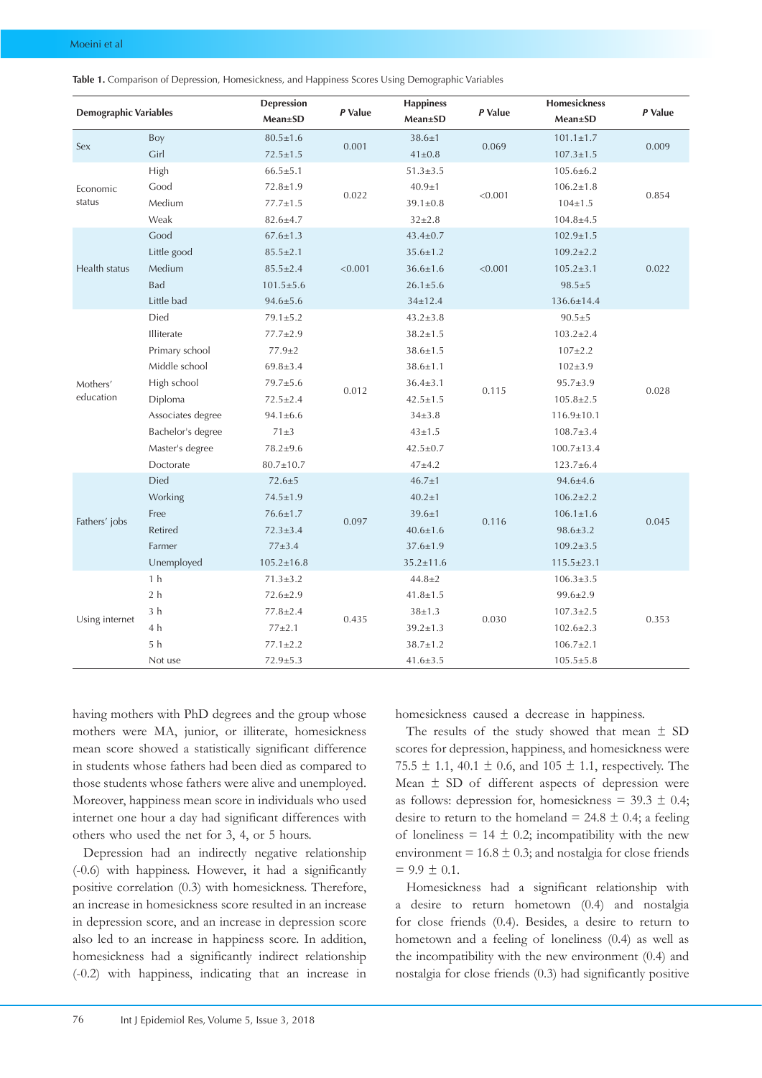| <b>Demographic Variables</b> |                   | <b>Depression</b> |         | <b>Happiness</b> |         | <b>Homesickness</b> |         |
|------------------------------|-------------------|-------------------|---------|------------------|---------|---------------------|---------|
|                              |                   | Mean±SD           | P Value | <b>Mean±SD</b>   | P Value | <b>Mean±SD</b>      | P Value |
| Sex                          | Boy               | $80.5 \pm 1.6$    | 0.001   | $38.6 \pm 1$     | 0.069   | $101.1 \pm 1.7$     | 0.009   |
|                              | Girl              | $72.5 \pm 1.5$    |         | $41 \pm 0.8$     |         | $107.3 \pm 1.5$     |         |
| Economic<br>status           | High              | $66.5 \pm 5.1$    |         | $51.3 \pm 3.5$   |         | $105.6 \pm 6.2$     |         |
|                              | Good              | $72.8 \pm 1.9$    | 0.022   | $40.9 \pm 1$     | < 0.001 | $106.2 \pm 1.8$     | 0.854   |
|                              | Medium            | $77.7 \pm 1.5$    |         | $39.1 \pm 0.8$   |         | $104 \pm 1.5$       |         |
|                              | Weak              | $82.6 \pm 4.7$    |         | $32 \pm 2.8$     |         | $104.8 \pm 4.5$     |         |
|                              | Good              | $67.6 \pm 1.3$    | < 0.001 | $43.4 \pm 0.7$   |         | $102.9 \pm 1.5$     |         |
|                              | Little good       | $85.5 \pm 2.1$    |         | $35.6 \pm 1.2$   |         | $109.2 \pm 2.2$     |         |
| Health status                | Medium            | $85.5 \pm 2.4$    |         | $36.6 \pm 1.6$   | < 0.001 | $105.2 \pm 3.1$     | 0.022   |
|                              | Bad               | $101.5 \pm 5.6$   |         | $26.1 \pm 5.6$   |         | $98.5 + 5$          |         |
|                              | Little bad        | $94.6 \pm 5.6$    |         | $34 \pm 12.4$    |         | 136.6±14.4          |         |
|                              | Died              | $79.1 \pm 5.2$    |         | $43.2 \pm 3.8$   |         | $90.5 + 5$          |         |
|                              | Illiterate        | 77.7±2.9          | 0.012   | $38.2 \pm 1.5$   |         | $103.2 \pm 2.4$     |         |
|                              | Primary school    | $77.9 \pm 2$      |         | $38.6 \pm 1.5$   |         | $107 \pm 2.2$       |         |
|                              | Middle school     | $69.8 \pm 3.4$    |         | $38.6 \pm 1.1$   |         | $102 \pm 3.9$       |         |
| Mothers'                     | High school       | $79.7 + 5.6$      |         | $36.4 \pm 3.1$   | 0.115   | $95.7 \pm 3.9$      | 0.028   |
| education                    | Diploma           | $72.5 \pm 2.4$    |         | $42.5 \pm 1.5$   |         | $105.8 \pm 2.5$     |         |
|                              | Associates degree | $94.1 \pm 6.6$    |         | $34\pm3.8$       |         | $116.9 \pm 10.1$    |         |
|                              | Bachelor's degree | $71\pm3$          |         | $43 \pm 1.5$     |         | $108.7 \pm 3.4$     |         |
|                              | Master's degree   | $78.2 \pm 9.6$    |         | $42.5 \pm 0.7$   |         | $100.7 \pm 13.4$    |         |
|                              | Doctorate         | 80.7±10.7         |         | $47 + 4.2$       |         | $123.7 \pm 6.4$     |         |
|                              | Died              | $72.6 \pm 5$      |         | $46.7 \pm 1$     |         | $94.6 \pm 4.6$      |         |
|                              | Working           | $74.5 \pm 1.9$    |         | $40.2 \pm 1$     |         | $106.2 \pm 2.2$     |         |
|                              | Free              | $76.6 \pm 1.7$    |         | $39.6 \pm 1$     |         | $106.1 \pm 1.6$     | 0.045   |
| Fathers' jobs                | Retired           | $72.3 \pm 3.4$    | 0.097   | $40.6 \pm 1.6$   | 0.116   | $98.6 \pm 3.2$      |         |
|                              | Farmer            | $77 + 3.4$        |         | $37.6 \pm 1.9$   |         | $109.2 \pm 3.5$     |         |
|                              | Unemployed        | $105.2 \pm 16.8$  |         | $35.2 \pm 11.6$  |         | $115.5 \pm 23.1$    |         |
| Using internet               | 1 <sub>h</sub>    | $71.3 \pm 3.2$    |         | $44.8 \pm 2$     |         | $106.3 \pm 3.5$     |         |
|                              | 2 <sub>h</sub>    | $72.6 \pm 2.9$    | 0.435   | $41.8 \pm 1.5$   |         | $99.6 \pm 2.9$      |         |
|                              | 3 <sub>h</sub>    | $77.8 \pm 2.4$    |         | $38 \pm 1.3$     |         | $107.3 \pm 2.5$     |         |
|                              | 4 h               | $77 + 2.1$        |         | $39.2 \pm 1.3$   | 0.030   | $102.6 \pm 2.3$     | 0.353   |
|                              | 5 <sub>h</sub>    | $77.1 \pm 2.2$    |         | $38.7 \pm 1.2$   |         | $106.7 \pm 2.1$     |         |
|                              | Not use           | $72.9 \pm 5.3$    |         | $41.6 \pm 3.5$   |         | $105.5 \pm 5.8$     |         |

**Table 1.** Comparison of Depression, Homesickness, and Happiness Scores Using Demographic Variables

having mothers with PhD degrees and the group whose mothers were MA, junior, or illiterate, homesickness mean score showed a statistically significant difference in students whose fathers had been died as compared to those students whose fathers were alive and unemployed. Moreover, happiness mean score in individuals who used internet one hour a day had significant differences with others who used the net for 3, 4, or 5 hours.

Depression had an indirectly negative relationship (-0.6) with happiness. However, it had a significantly positive correlation (0.3) with homesickness. Therefore, an increase in homesickness score resulted in an increase in depression score, and an increase in depression score also led to an increase in happiness score. In addition, homesickness had a significantly indirect relationship (-0.2) with happiness, indicating that an increase in

homesickness caused a decrease in happiness.

The results of the study showed that mean  $\pm$  SD scores for depression, happiness, and homesickness were 75.5  $\pm$  1.1, 40.1  $\pm$  0.6, and 105  $\pm$  1.1, respectively. The Mean  $\pm$  SD of different aspects of depression were as follows: depression for, homesickness =  $39.3 \pm 0.4$ ; desire to return to the homeland =  $24.8 \pm 0.4$ ; a feeling of loneliness =  $14 \pm 0.2$ ; incompatibility with the new environment =  $16.8 \pm 0.3$ ; and nostalgia for close friends  $= 9.9 \pm 0.1.$ 

Homesickness had a significant relationship with a desire to return hometown (0.4) and nostalgia for close friends (0.4). Besides, a desire to return to hometown and a feeling of loneliness (0.4) as well as the incompatibility with the new environment (0.4) and nostalgia for close friends (0.3) had significantly positive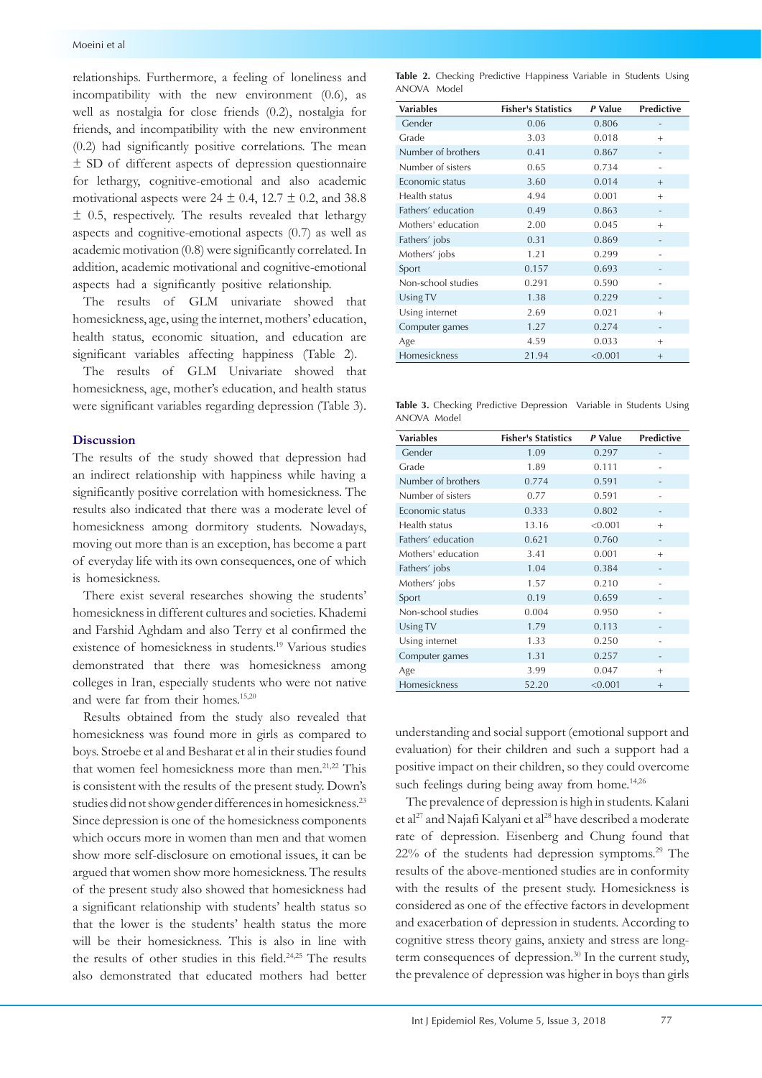relationships. Furthermore, a feeling of loneliness and incompatibility with the new environment (0.6), as well as nostalgia for close friends (0.2), nostalgia for friends, and incompatibility with the new environment (0.2) had significantly positive correlations. The mean ± SD of different aspects of depression questionnaire for lethargy, cognitive-emotional and also academic motivational aspects were  $24 \pm 0.4$ ,  $12.7 \pm 0.2$ , and 38.8 ± 0.5, respectively. The results revealed that lethargy aspects and cognitive-emotional aspects (0.7) as well as academic motivation (0.8) were significantly correlated. In addition, academic motivational and cognitive-emotional aspects had a significantly positive relationship.

The results of GLM univariate showed that homesickness, age, using the internet, mothers' education, health status, economic situation, and education are significant variables affecting happiness (Table 2).

The results of GLM Univariate showed that homesickness, age, mother's education, and health status were significant variables regarding depression (Table 3).

# **Discussion**

The results of the study showed that depression had an indirect relationship with happiness while having a significantly positive correlation with homesickness. The results also indicated that there was a moderate level of homesickness among dormitory students. Nowadays, moving out more than is an exception, has become a part of everyday life with its own consequences, one of which is homesickness.

There exist several researches showing the students' homesickness in different cultures and societies. Khademi and Farshid Aghdam and also Terry et al confirmed the existence of homesickness in students.19 Various studies demonstrated that there was homesickness among colleges in Iran, especially students who were not native and were far from their homes.15,20

Results obtained from the study also revealed that homesickness was found more in girls as compared to boys. Stroebe et al and Besharat et al in their studies found that women feel homesickness more than men.<sup>21,22</sup> This is consistent with the results of the present study. Down's studies did not show gender differences in homesickness.<sup>23</sup> Since depression is one of the homesickness components which occurs more in women than men and that women show more self-disclosure on emotional issues, it can be argued that women show more homesickness. The results of the present study also showed that homesickness had a significant relationship with students' health status so that the lower is the students' health status the more will be their homesickness. This is also in line with the results of other studies in this field.24,25 The results also demonstrated that educated mothers had better

|             |  | Table 2. Checking Predictive Happiness Variable in Students Using |  |  |
|-------------|--|-------------------------------------------------------------------|--|--|
| ANOVA Model |  |                                                                   |  |  |

| <b>Variables</b>   | <b>Fisher's Statistics</b> | P Value | <b>Predictive</b> |
|--------------------|----------------------------|---------|-------------------|
| Gender             | 0.06                       | 0.806   |                   |
| Grade              | 3.03                       | 0.018   | $^{+}$            |
| Number of brothers | 0.41                       | 0.867   |                   |
| Number of sisters  | 0.65                       | 0.734   |                   |
| Economic status    | 3.60                       | 0.014   | $^{+}$            |
| Health status      | 4.94                       | 0.001   | $^{+}$            |
| Fathers' education | 0.49                       | 0.863   |                   |
| Mothers' education | 2.00                       | 0.045   | $^{+}$            |
| Fathers' jobs      | 0.31                       | 0.869   |                   |
| Mothers' jobs      | 1.21                       | 0.299   |                   |
| Sport              | 0.157                      | 0.693   |                   |
| Non-school studies | 0.291                      | 0.590   |                   |
| Using TV           | 1.38                       | 0.229   |                   |
| Using internet     | 2.69                       | 0.021   | $^{+}$            |
| Computer games     | 1.27                       | 0.274   |                   |
| Age                | 4.59                       | 0.033   | $^{+}$            |
| Homesickness       | 21.94                      | < 0.001 | $^{+}$            |

|             |  | Table 3. Checking Predictive Depression Variable in Students Using |  |  |
|-------------|--|--------------------------------------------------------------------|--|--|
| ANOVA Model |  |                                                                    |  |  |

| <b>Variables</b>   | <b>Fisher's Statistics</b> | P Value | <b>Predictive</b> |
|--------------------|----------------------------|---------|-------------------|
| Gender             | 1.09                       | 0.297   |                   |
| Grade              | 1.89                       | 0.111   |                   |
| Number of brothers | 0.774                      | 0.591   |                   |
| Number of sisters  | 0.77                       | 0.591   |                   |
| Economic status    | 0.333                      | 0.802   |                   |
| Health status      | 13.16                      | < 0.001 | $^{+}$            |
| Fathers' education | 0.621                      | 0.760   |                   |
| Mothers' education | 3.41                       | 0.001   | $\ddot{}$         |
| Fathers' jobs      | 1.04                       | 0.384   |                   |
| Mothers' jobs      | 1.57                       | 0.210   |                   |
| Sport              | 0.19                       | 0.659   |                   |
| Non-school studies | 0.004                      | 0.950   |                   |
| Using TV           | 1.79                       | 0.113   |                   |
| Using internet     | 1.33                       | 0.250   |                   |
| Computer games     | 1.31                       | 0.257   |                   |
| Age                | 3.99                       | 0.047   | $^{+}$            |
| Homesickness       | 52.20                      | < 0.001 | $^{+}$            |

understanding and social support (emotional support and evaluation) for their children and such a support had a positive impact on their children, so they could overcome such feelings during being away from home.<sup>14,26</sup>

The prevalence of depression is high in students. Kalani et al<sup>27</sup> and Najafi Kalyani et al<sup>28</sup> have described a moderate rate of depression. Eisenberg and Chung found that  $22\%$  of the students had depression symptoms.<sup>29</sup> The results of the above-mentioned studies are in conformity with the results of the present study. Homesickness is considered as one of the effective factors in development and exacerbation of depression in students. According to cognitive stress theory gains, anxiety and stress are longterm consequences of depression.<sup>30</sup> In the current study, the prevalence of depression was higher in boys than girls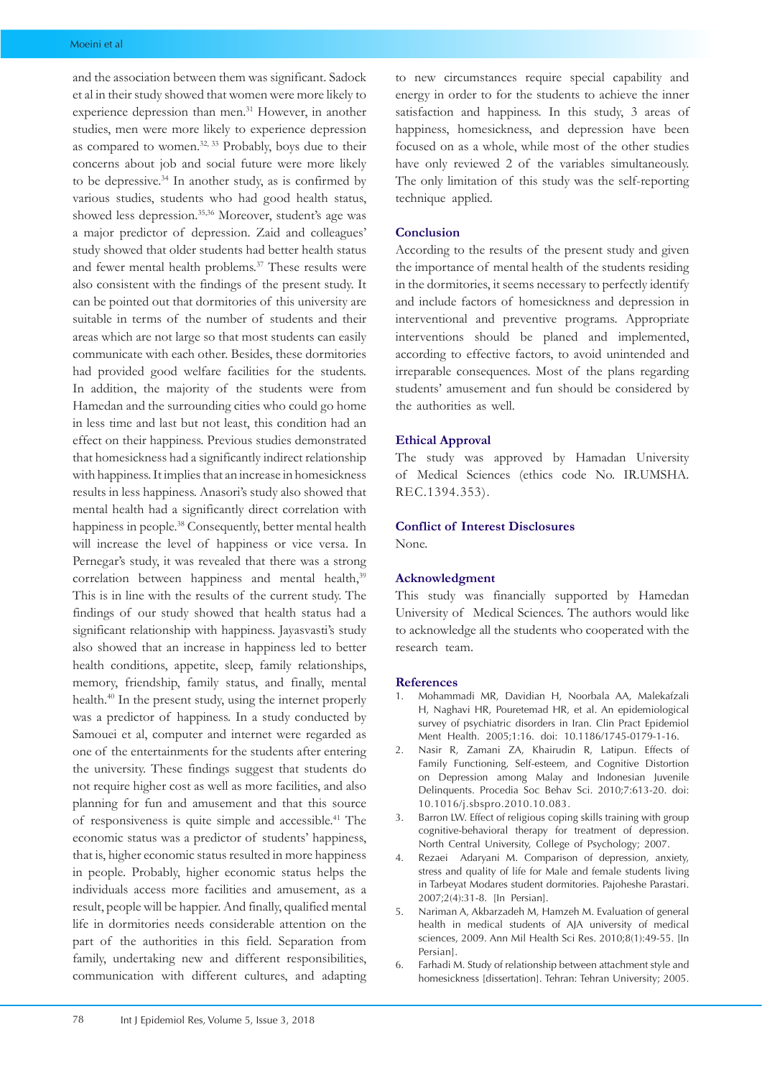and the association between them was significant. Sadock et al in their study showed that women were more likely to experience depression than men.<sup>31</sup> However, in another studies, men were more likely to experience depression as compared to women.<sup>32, 33</sup> Probably, boys due to their concerns about job and social future were more likely to be depressive.34 In another study, as is confirmed by various studies, students who had good health status, showed less depression.<sup>35,36</sup> Moreover, student's age was a major predictor of depression. Zaid and colleagues' study showed that older students had better health status and fewer mental health problems.37 These results were also consistent with the findings of the present study. It can be pointed out that dormitories of this university are suitable in terms of the number of students and their areas which are not large so that most students can easily communicate with each other. Besides, these dormitories had provided good welfare facilities for the students. In addition, the majority of the students were from Hamedan and the surrounding cities who could go home in less time and last but not least, this condition had an effect on their happiness. Previous studies demonstrated that homesickness had a significantly indirect relationship with happiness. It implies that an increase in homesickness results in less happiness. Anasori's study also showed that mental health had a significantly direct correlation with happiness in people.<sup>38</sup> Consequently, better mental health will increase the level of happiness or vice versa. In Pernegar's study, it was revealed that there was a strong correlation between happiness and mental health,<sup>39</sup> This is in line with the results of the current study. The findings of our study showed that health status had a significant relationship with happiness. Jayasvasti's study also showed that an increase in happiness led to better health conditions, appetite, sleep, family relationships, memory, friendship, family status, and finally, mental health.40 In the present study, using the internet properly was a predictor of happiness. In a study conducted by Samouei et al, computer and internet were regarded as one of the entertainments for the students after entering the university. These findings suggest that students do not require higher cost as well as more facilities, and also planning for fun and amusement and that this source of responsiveness is quite simple and accessible.41 The economic status was a predictor of students' happiness, that is, higher economic status resulted in more happiness in people. Probably, higher economic status helps the individuals access more facilities and amusement, as a result, people will be happier. And finally, qualified mental life in dormitories needs considerable attention on the part of the authorities in this field. Separation from family, undertaking new and different responsibilities, communication with different cultures, and adapting

to new circumstances require special capability and energy in order to for the students to achieve the inner satisfaction and happiness. In this study, 3 areas of happiness, homesickness, and depression have been focused on as a whole, while most of the other studies have only reviewed 2 of the variables simultaneously. The only limitation of this study was the self-reporting technique applied.

#### **Conclusion**

According to the results of the present study and given the importance of mental health of the students residing in the dormitories, it seems necessary to perfectly identify and include factors of homesickness and depression in interventional and preventive programs. Appropriate interventions should be planed and implemented, according to effective factors, to avoid unintended and irreparable consequences. Most of the plans regarding students' amusement and fun should be considered by the authorities as well.

# **Ethical Approval**

The study was approved by Hamadan University of Medical Sciences (ethics code No. IR.UMSHA. REC.1394.353).

#### **Conflict of Interest Disclosures**

None.

#### **Acknowledgment**

This study was financially supported by Hamedan University of Medical Sciences. The authors would like to acknowledge all the students who cooperated with the research team.

#### **References**

- 1. Mohammadi MR, Davidian H, Noorbala AA, Malekafzali H, Naghavi HR, Pouretemad HR, et al. An epidemiological survey of psychiatric disorders in Iran. Clin Pract Epidemiol Ment Health. 2005;1:16. doi: 10.1186/1745-0179-1-16.
- 2. Nasir R, Zamani ZA, Khairudin R, Latipun. Effects of Family Functioning, Self-esteem, and Cognitive Distortion on Depression among Malay and Indonesian Juvenile Delinquents. Procedia Soc Behav Sci. 2010;7:613-20. doi: 10.1016/j.sbspro.2010.10.083.
- 3. Barron LW. Effect of religious coping skills training with group cognitive-behavioral therapy for treatment of depression. North Central University, College of Psychology; 2007.
- 4. Rezaei Adaryani M. Comparison of depression, anxiety, stress and quality of life for Male and female students living in Tarbeyat Modares student dormitories. Pajoheshe Parastari. 2007;2(4):31-8. [In Persian].
- 5. Nariman A, Akbarzadeh M, Hamzeh M. Evaluation of general health in medical students of AJA university of medical sciences, 2009. Ann Mil Health Sci Res. 2010;8(1):49-55. [In Persian].
- 6. Farhadi M. Study of relationship between attachment style and homesickness [dissertation]. Tehran: Tehran University; 2005.